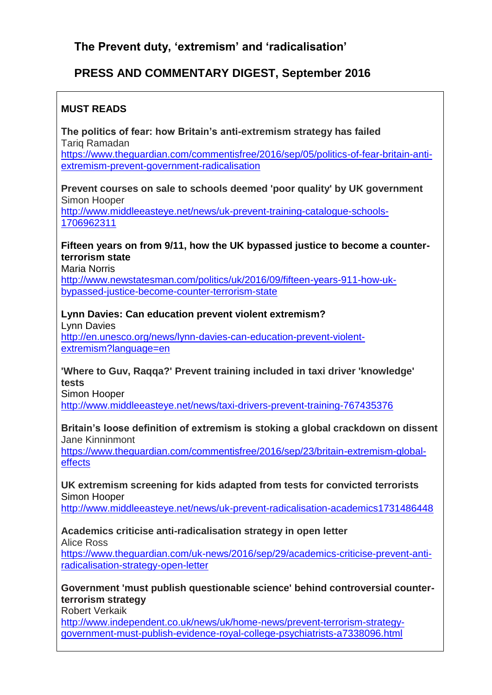# **PRESS AND COMMENTARY DIGEST, September 2016**

## **MUST READS**

**The politics of fear: how Britain's anti-extremism strategy has failed** Tariq Ramadan

[https://www.theguardian.com/commentisfree/2016/sep/05/politics-of-fear-britain-anti](https://www.theguardian.com/commentisfree/2016/sep/05/politics-of-fear-britain-anti-extremism-prevent-government-radicalisation)[extremism-prevent-government-radicalisation](https://www.theguardian.com/commentisfree/2016/sep/05/politics-of-fear-britain-anti-extremism-prevent-government-radicalisation)

## **Prevent courses on sale to schools deemed 'poor quality' by UK government** Simon Hooper

[http://www.middleeasteye.net/news/uk-prevent-training-catalogue-schools-](http://www.middleeasteye.net/news/uk-prevent-training-catalogue-schools-1706962311)[1706962311](http://www.middleeasteye.net/news/uk-prevent-training-catalogue-schools-1706962311)

## **Fifteen years on from 9/11, how the UK bypassed justice to become a counterterrorism state**

Maria Norris

[http://www.newstatesman.com/politics/uk/2016/09/fifteen-years-911-how-uk](http://www.newstatesman.com/politics/uk/2016/09/fifteen-years-911-how-uk-bypassed-justice-become-counter-terrorism-state)[bypassed-justice-become-counter-terrorism-state](http://www.newstatesman.com/politics/uk/2016/09/fifteen-years-911-how-uk-bypassed-justice-become-counter-terrorism-state)

## **Lynn Davies: Can education prevent violent extremism?**

Lynn Davies [http://en.unesco.org/news/lynn-davies-can-education-prevent-violent](http://en.unesco.org/news/lynn-davies-can-education-prevent-violent-extremism?language=en)[extremism?language=en](http://en.unesco.org/news/lynn-davies-can-education-prevent-violent-extremism?language=en)

#### **'Where to Guv, Raqqa?' Prevent training included in taxi driver 'knowledge' tests**

Simon Hooper

<http://www.middleeasteye.net/news/taxi-drivers-prevent-training-767435376>

#### **Britain's loose definition of extremism is stoking a global crackdown on dissent** Jane Kinninmont

[https://www.theguardian.com/commentisfree/2016/sep/23/britain-extremism-global](https://www.theguardian.com/commentisfree/2016/sep/23/britain-extremism-global-effects)[effects](https://www.theguardian.com/commentisfree/2016/sep/23/britain-extremism-global-effects)

## **UK extremism screening for kids adapted from tests for convicted terrorists** Simon Hooper

<http://www.middleeasteye.net/news/uk-prevent-radicalisation-academics1731486448>

#### **Academics criticise anti-radicalisation strategy in open letter** Alice Ross

[https://www.theguardian.com/uk-news/2016/sep/29/academics-criticise-prevent-anti](https://www.theguardian.com/uk-news/2016/sep/29/academics-criticise-prevent-anti-radicalisation-strategy-open-letter)[radicalisation-strategy-open-letter](https://www.theguardian.com/uk-news/2016/sep/29/academics-criticise-prevent-anti-radicalisation-strategy-open-letter)

## **Government 'must publish questionable science' behind controversial counterterrorism strategy**

Robert Verkaik

[http://www.independent.co.uk/news/uk/home-news/prevent-terrorism-strategy](http://www.independent.co.uk/news/uk/home-news/prevent-terrorism-strategy-government-must-publish-evidence-royal-college-psychiatrists-a7338096.html)[government-must-publish-evidence-royal-college-psychiatrists-a7338096.html](http://www.independent.co.uk/news/uk/home-news/prevent-terrorism-strategy-government-must-publish-evidence-royal-college-psychiatrists-a7338096.html)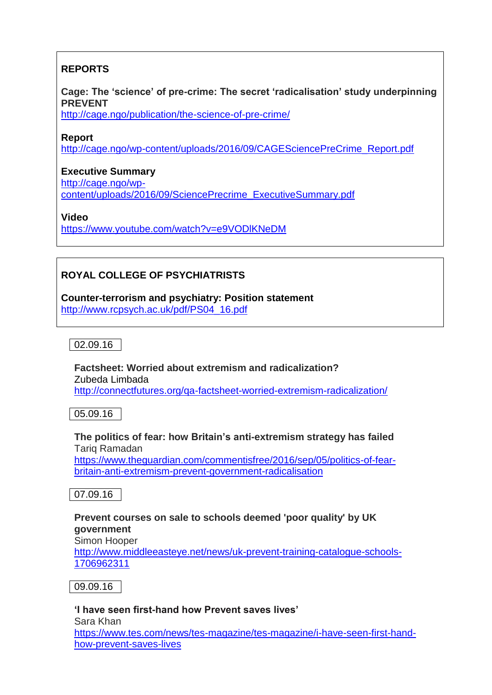## **REPORTS**

## **Cage: The 'science' of pre-crime: The secret 'radicalisation' study underpinning PREVENT**

<http://cage.ngo/publication/the-science-of-pre-crime/>

#### **Report**

[http://cage.ngo/wp-content/uploads/2016/09/CAGESciencePreCrime\\_Report.pdf](http://cage.ngo/wp-content/uploads/2016/09/CAGESciencePreCrime_Report.pdf)

## **Executive Summary**

[http://cage.ngo/wp-](http://cage.ngo/wp-content/uploads/2016/09/SciencePrecrime_ExecutiveSummary.pdf)

[content/uploads/2016/09/SciencePrecrime\\_ExecutiveSummary.pdf](http://cage.ngo/wp-content/uploads/2016/09/SciencePrecrime_ExecutiveSummary.pdf)

**Video**

<https://www.youtube.com/watch?v=e9VODlKNeDM>

## **ROYAL COLLEGE OF PSYCHIATRISTS**

**Counter-terrorism and psychiatry: Position statement** [http://www.rcpsych.ac.uk/pdf/PS04\\_16.pdf](http://www.rcpsych.ac.uk/pdf/PS04_16.pdf)

02.09.16

**Factsheet: Worried about extremism and radicalization?** Zubeda Limbada <http://connectfutures.org/qa-factsheet-worried-extremism-radicalization/>

05.09.16

## **The politics of fear: how Britain's anti-extremism strategy has failed** Tariq Ramadan

[https://www.theguardian.com/commentisfree/2016/sep/05/politics-of-fear](https://www.theguardian.com/commentisfree/2016/sep/05/politics-of-fear-britain-anti-extremism-prevent-government-radicalisation)[britain-anti-extremism-prevent-government-radicalisation](https://www.theguardian.com/commentisfree/2016/sep/05/politics-of-fear-britain-anti-extremism-prevent-government-radicalisation)

07.09.16

#### **Prevent courses on sale to schools deemed 'poor quality' by UK government**

Simon Hooper

[http://www.middleeasteye.net/news/uk-prevent-training-catalogue-schools-](http://www.middleeasteye.net/news/uk-prevent-training-catalogue-schools-1706962311)[1706962311](http://www.middleeasteye.net/news/uk-prevent-training-catalogue-schools-1706962311)

09.09.16

#### **'I have seen first-hand how Prevent saves lives'** Sara Khan [https://www.tes.com/news/tes-magazine/tes-magazine/i-have-seen-first-hand](https://www.tes.com/news/tes-magazine/tes-magazine/i-have-seen-first-hand-how-prevent-saves-lives)[how-prevent-saves-lives](https://www.tes.com/news/tes-magazine/tes-magazine/i-have-seen-first-hand-how-prevent-saves-lives)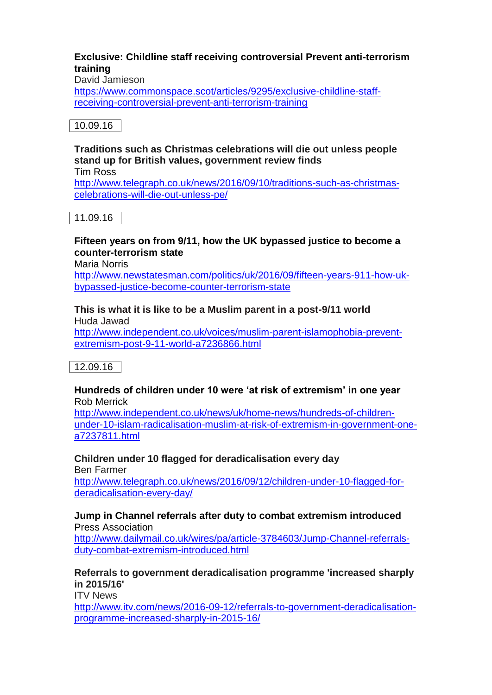### **Exclusive: Childline staff receiving controversial Prevent anti-terrorism training**

David Jamieson

[https://www.commonspace.scot/articles/9295/exclusive-childline-staff](https://www.commonspace.scot/articles/9295/exclusive-childline-staff-receiving-controversial-prevent-anti-terrorism-training)[receiving-controversial-prevent-anti-terrorism-training](https://www.commonspace.scot/articles/9295/exclusive-childline-staff-receiving-controversial-prevent-anti-terrorism-training)

## 10.09.16

# **Traditions such as Christmas celebrations will die out unless people stand up for British values, government review finds**

Tim Ross

[http://www.telegraph.co.uk/news/2016/09/10/traditions-such-as-christmas](http://www.telegraph.co.uk/news/2016/09/10/traditions-such-as-christmas-celebrations-will-die-out-unless-pe/)[celebrations-will-die-out-unless-pe/](http://www.telegraph.co.uk/news/2016/09/10/traditions-such-as-christmas-celebrations-will-die-out-unless-pe/)

11.09.16

## **Fifteen years on from 9/11, how the UK bypassed justice to become a counter-terrorism state**

Maria Norris

[http://www.newstatesman.com/politics/uk/2016/09/fifteen-years-911-how-uk](http://www.newstatesman.com/politics/uk/2016/09/fifteen-years-911-how-uk-bypassed-justice-become-counter-terrorism-state)[bypassed-justice-become-counter-terrorism-state](http://www.newstatesman.com/politics/uk/2016/09/fifteen-years-911-how-uk-bypassed-justice-become-counter-terrorism-state)

## **This is what it is like to be a Muslim parent in a post-9/11 world**

Huda Jawad [http://www.independent.co.uk/voices/muslim-parent-islamophobia-prevent](http://www.independent.co.uk/voices/muslim-parent-islamophobia-prevent-extremism-post-9-11-world-a7236866.html)[extremism-post-9-11-world-a7236866.html](http://www.independent.co.uk/voices/muslim-parent-islamophobia-prevent-extremism-post-9-11-world-a7236866.html)

12.09.16

## **Hundreds of children under 10 were 'at risk of extremism' in one year** Rob Merrick

[http://www.independent.co.uk/news/uk/home-news/hundreds-of-children](http://www.independent.co.uk/news/uk/home-news/hundreds-of-children-under-10-islam-radicalisation-muslim-at-risk-of-extremism-in-government-one-a7237811.html)[under-10-islam-radicalisation-muslim-at-risk-of-extremism-in-government-one](http://www.independent.co.uk/news/uk/home-news/hundreds-of-children-under-10-islam-radicalisation-muslim-at-risk-of-extremism-in-government-one-a7237811.html)[a7237811.html](http://www.independent.co.uk/news/uk/home-news/hundreds-of-children-under-10-islam-radicalisation-muslim-at-risk-of-extremism-in-government-one-a7237811.html)

**Children under 10 flagged for deradicalisation every day** Ben Farmer

[http://www.telegraph.co.uk/news/2016/09/12/children-under-10-flagged-for](http://www.telegraph.co.uk/news/2016/09/12/children-under-10-flagged-for-deradicalisation-every-day/)[deradicalisation-every-day/](http://www.telegraph.co.uk/news/2016/09/12/children-under-10-flagged-for-deradicalisation-every-day/)

#### **Jump in Channel referrals after duty to combat extremism introduced** Press Association

[http://www.dailymail.co.uk/wires/pa/article-3784603/Jump-Channel-referrals](http://www.dailymail.co.uk/wires/pa/article-3784603/Jump-Channel-referrals-duty-combat-extremism-introduced.html)[duty-combat-extremism-introduced.html](http://www.dailymail.co.uk/wires/pa/article-3784603/Jump-Channel-referrals-duty-combat-extremism-introduced.html)

**Referrals to government deradicalisation programme 'increased sharply in 2015/16'**

ITV News

[http://www.itv.com/news/2016-09-12/referrals-to-government-deradicalisation](http://www.itv.com/news/2016-09-12/referrals-to-government-deradicalisation-programme-increased-sharply-in-2015-16/)[programme-increased-sharply-in-2015-16/](http://www.itv.com/news/2016-09-12/referrals-to-government-deradicalisation-programme-increased-sharply-in-2015-16/)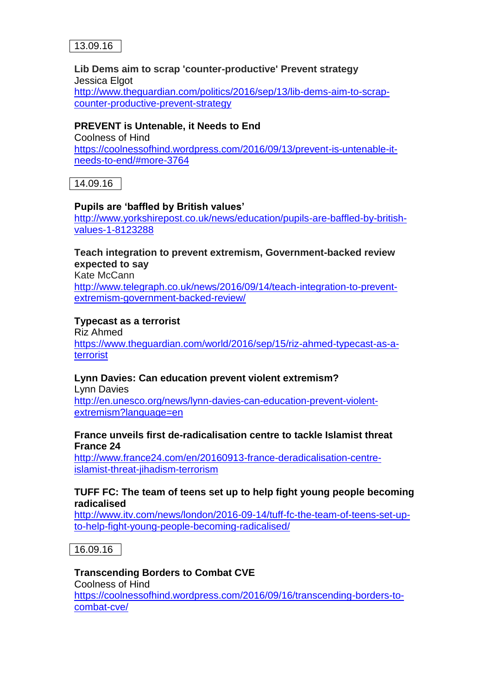

#### **Lib Dems aim to scrap 'counter-productive' Prevent strategy** Jessica Elgot [http://www.theguardian.com/politics/2016/sep/13/lib-dems-aim-to-scrap](http://www.theguardian.com/politics/2016/sep/13/lib-dems-aim-to-scrap-counter-productive-prevent-strategy)[counter-productive-prevent-strategy](http://www.theguardian.com/politics/2016/sep/13/lib-dems-aim-to-scrap-counter-productive-prevent-strategy)

#### **PREVENT is Untenable, it Needs to End**

Coolness of Hind [https://coolnessofhind.wordpress.com/2016/09/13/prevent-is-untenable-it](https://coolnessofhind.wordpress.com/2016/09/13/prevent-is-untenable-it-needs-to-end/#more-3764)[needs-to-end/#more-3764](https://coolnessofhind.wordpress.com/2016/09/13/prevent-is-untenable-it-needs-to-end/#more-3764)

14.09.16

#### **Pupils are 'baffled by British values'**

[http://www.yorkshirepost.co.uk/news/education/pupils-are-baffled-by-british](http://www.yorkshirepost.co.uk/news/education/pupils-are-baffled-by-british-values-1-8123288)[values-1-8123288](http://www.yorkshirepost.co.uk/news/education/pupils-are-baffled-by-british-values-1-8123288)

## **Teach integration to prevent extremism, Government-backed review expected to say**

Kate McCann [http://www.telegraph.co.uk/news/2016/09/14/teach-integration-to-prevent](http://www.telegraph.co.uk/news/2016/09/14/teach-integration-to-prevent-extremism-government-backed-review/)[extremism-government-backed-review/](http://www.telegraph.co.uk/news/2016/09/14/teach-integration-to-prevent-extremism-government-backed-review/)

#### **Typecast as a terrorist**

Riz Ahmed [https://www.theguardian.com/world/2016/sep/15/riz-ahmed-typecast-as-a](https://www.theguardian.com/world/2016/sep/15/riz-ahmed-typecast-as-a-terrorist)[terrorist](https://www.theguardian.com/world/2016/sep/15/riz-ahmed-typecast-as-a-terrorist)

## **Lynn Davies: Can education prevent violent extremism?**

Lynn Davies [http://en.unesco.org/news/lynn-davies-can-education-prevent-violent](http://en.unesco.org/news/lynn-davies-can-education-prevent-violent-extremism?language=en)[extremism?language=en](http://en.unesco.org/news/lynn-davies-can-education-prevent-violent-extremism?language=en)

#### **France unveils first de-radicalisation centre to tackle Islamist threat France 24**

[http://www.france24.com/en/20160913-france-deradicalisation-centre](http://www.france24.com/en/20160913-france-deradicalisation-centre-islamist-threat-jihadism-terrorism)[islamist-threat-jihadism-terrorism](http://www.france24.com/en/20160913-france-deradicalisation-centre-islamist-threat-jihadism-terrorism)

#### **TUFF FC: The team of teens set up to help fight young people becoming radicalised**

[http://www.itv.com/news/london/2016-09-14/tuff-fc-the-team-of-teens-set-up](http://www.itv.com/news/london/2016-09-14/tuff-fc-the-team-of-teens-set-up-to-help-fight-young-people-becoming-radicalised/)[to-help-fight-young-people-becoming-radicalised/](http://www.itv.com/news/london/2016-09-14/tuff-fc-the-team-of-teens-set-up-to-help-fight-young-people-becoming-radicalised/)

16.09.16

## **Transcending Borders to Combat CVE**

Coolness of Hind [https://coolnessofhind.wordpress.com/2016/09/16/transcending-borders-to](https://coolnessofhind.wordpress.com/2016/09/16/transcending-borders-to-combat-cve/)[combat-cve/](https://coolnessofhind.wordpress.com/2016/09/16/transcending-borders-to-combat-cve/)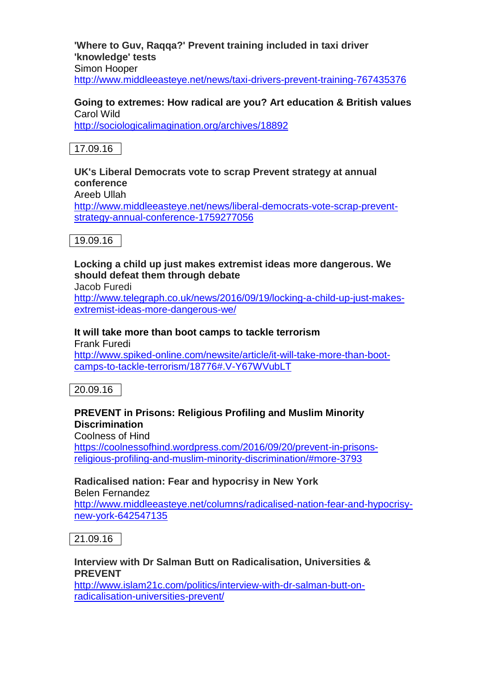**'Where to Guv, Raqqa?' Prevent training included in taxi driver 'knowledge' tests** Simon Hooper <http://www.middleeasteye.net/news/taxi-drivers-prevent-training-767435376>

#### **Going to extremes: How radical are you? Art education & British values** Carol Wild

<http://sociologicalimagination.org/archives/18892>



#### **UK's Liberal Democrats vote to scrap Prevent strategy at annual conference** Areeb Ullah [http://www.middleeasteye.net/news/liberal-democrats-vote-scrap-prevent](http://www.middleeasteye.net/news/liberal-democrats-vote-scrap-prevent-strategy-annual-conference-1759277056)[strategy-annual-conference-1759277056](http://www.middleeasteye.net/news/liberal-democrats-vote-scrap-prevent-strategy-annual-conference-1759277056)



## **Locking a child up just makes extremist ideas more dangerous. We should defeat them through debate**

Jacob Furedi

[http://www.telegraph.co.uk/news/2016/09/19/locking-a-child-up-just-makes](http://www.telegraph.co.uk/news/2016/09/19/locking-a-child-up-just-makes-extremist-ideas-more-dangerous-we/)[extremist-ideas-more-dangerous-we/](http://www.telegraph.co.uk/news/2016/09/19/locking-a-child-up-just-makes-extremist-ideas-more-dangerous-we/)

## **It will take more than boot camps to tackle terrorism**

Frank Furedi

[http://www.spiked-online.com/newsite/article/it-will-take-more-than-boot](http://www.spiked-online.com/newsite/article/it-will-take-more-than-boot-camps-to-tackle-terrorism/18776#.V-Y67WVubLT)[camps-to-tackle-terrorism/18776#.V-Y67WVubLT](http://www.spiked-online.com/newsite/article/it-will-take-more-than-boot-camps-to-tackle-terrorism/18776#.V-Y67WVubLT)

20.09.16

## **PREVENT in Prisons: Religious Profiling and Muslim Minority Discrimination**

Coolness of Hind

[https://coolnessofhind.wordpress.com/2016/09/20/prevent-in-prisons](https://coolnessofhind.wordpress.com/2016/09/20/prevent-in-prisons-religious-profiling-and-muslim-minority-discrimination/#more-3793)[religious-profiling-and-muslim-minority-discrimination/#more-3793](https://coolnessofhind.wordpress.com/2016/09/20/prevent-in-prisons-religious-profiling-and-muslim-minority-discrimination/#more-3793)

# **Radicalised nation: Fear and hypocrisy in New York**

Belen Fernandez

[http://www.middleeasteye.net/columns/radicalised-nation-fear-and-hypocrisy](http://www.middleeasteye.net/columns/radicalised-nation-fear-and-hypocrisy-new-york-642547135)[new-york-642547135](http://www.middleeasteye.net/columns/radicalised-nation-fear-and-hypocrisy-new-york-642547135)

21.09.16

#### **Interview with Dr Salman Butt on Radicalisation, Universities & PREVENT**

[http://www.islam21c.com/politics/interview-with-dr-salman-butt-on](http://www.islam21c.com/politics/interview-with-dr-salman-butt-on-radicalisation-universities-prevent/)[radicalisation-universities-prevent/](http://www.islam21c.com/politics/interview-with-dr-salman-butt-on-radicalisation-universities-prevent/)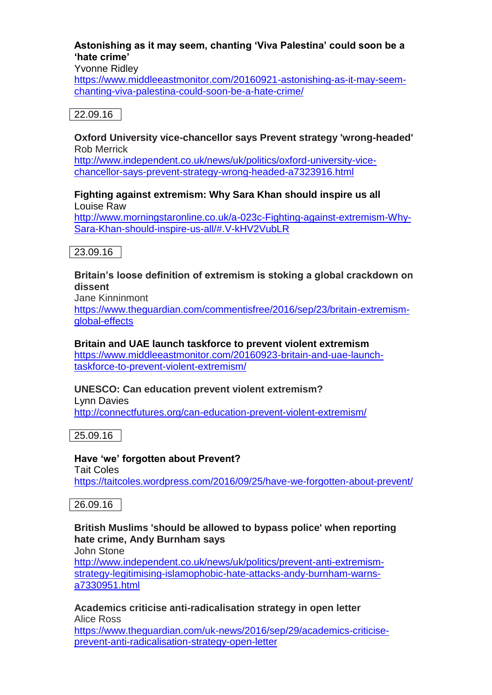## **Astonishing as it may seem, chanting 'Viva Palestina' could soon be a 'hate crime'**

Yvonne Ridley

[https://www.middleeastmonitor.com/20160921-astonishing-as-it-may-seem](https://www.middleeastmonitor.com/20160921-astonishing-as-it-may-seem-chanting-viva-palestina-could-soon-be-a-hate-crime/)[chanting-viva-palestina-could-soon-be-a-hate-crime/](https://www.middleeastmonitor.com/20160921-astonishing-as-it-may-seem-chanting-viva-palestina-could-soon-be-a-hate-crime/)

## 22.09.16

#### **Oxford University vice-chancellor says Prevent strategy 'wrong-headed'** Rob Merrick

[http://www.independent.co.uk/news/uk/politics/oxford-university-vice](http://www.independent.co.uk/news/uk/politics/oxford-university-vice-chancellor-says-prevent-strategy-wrong-headed-a7323916.html)[chancellor-says-prevent-strategy-wrong-headed-a7323916.html](http://www.independent.co.uk/news/uk/politics/oxford-university-vice-chancellor-says-prevent-strategy-wrong-headed-a7323916.html)

#### **Fighting against extremism: Why Sara Khan should inspire us all** Louise Raw

[http://www.morningstaronline.co.uk/a-023c-Fighting-against-extremism-Why-](http://www.morningstaronline.co.uk/a-023c-Fighting-against-extremism-Why-Sara-Khan-should-inspire-us-all/#.V-kHV2VubLR)[Sara-Khan-should-inspire-us-all/#.V-kHV2VubLR](http://www.morningstaronline.co.uk/a-023c-Fighting-against-extremism-Why-Sara-Khan-should-inspire-us-all/#.V-kHV2VubLR)

23.09.16

## **Britain's loose definition of extremism is stoking a global crackdown on dissent**

Jane Kinninmont

[https://www.theguardian.com/commentisfree/2016/sep/23/britain-extremism](https://www.theguardian.com/commentisfree/2016/sep/23/britain-extremism-global-effects)[global-effects](https://www.theguardian.com/commentisfree/2016/sep/23/britain-extremism-global-effects)

## **Britain and UAE launch taskforce to prevent violent extremism**

[https://www.middleeastmonitor.com/20160923-britain-and-uae-launch](https://www.middleeastmonitor.com/20160923-britain-and-uae-launch-taskforce-to-prevent-violent-extremism/)[taskforce-to-prevent-violent-extremism/](https://www.middleeastmonitor.com/20160923-britain-and-uae-launch-taskforce-to-prevent-violent-extremism/)

## **UNESCO: Can education prevent violent extremism?**

Lynn Davies <http://connectfutures.org/can-education-prevent-violent-extremism/>

25.09.16

# **Have 'we' forgotten about Prevent?**

Tait Coles

<https://taitcoles.wordpress.com/2016/09/25/have-we-forgotten-about-prevent/>

## 26.09.16

## **British Muslims 'should be allowed to bypass police' when reporting hate crime, Andy Burnham says**

John Stone

[http://www.independent.co.uk/news/uk/politics/prevent-anti-extremism](http://www.independent.co.uk/news/uk/politics/prevent-anti-extremism-strategy-legitimising-islamophobic-hate-attacks-andy-burnham-warns-a7330951.html)[strategy-legitimising-islamophobic-hate-attacks-andy-burnham-warns](http://www.independent.co.uk/news/uk/politics/prevent-anti-extremism-strategy-legitimising-islamophobic-hate-attacks-andy-burnham-warns-a7330951.html)[a7330951.html](http://www.independent.co.uk/news/uk/politics/prevent-anti-extremism-strategy-legitimising-islamophobic-hate-attacks-andy-burnham-warns-a7330951.html)

**Academics criticise anti-radicalisation strategy in open letter** Alice Ross

[https://www.theguardian.com/uk-news/2016/sep/29/academics-criticise](https://www.theguardian.com/uk-news/2016/sep/29/academics-criticise-prevent-anti-radicalisation-strategy-open-letter)[prevent-anti-radicalisation-strategy-open-letter](https://www.theguardian.com/uk-news/2016/sep/29/academics-criticise-prevent-anti-radicalisation-strategy-open-letter)